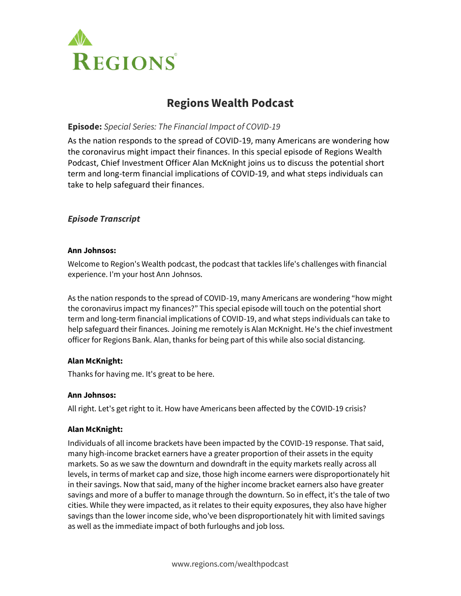

# **Regions Wealth Podcast**

# **Episode:** *Special Series: The Financial Impact of COVID-19*

As the nation responds to the spread of COVID-19, many Americans are wondering how the coronavirus might impact their finances. In this special episode of Regions Wealth Podcast, Chief Investment Officer Alan McKnight joins us to discuss the potential short term and long-term financial implications of COVID-19, and what steps individuals can take to help safeguard their finances.

# *Episode Transcript*

#### **Ann Johnsos:**

Welcome to Region's Wealth podcast, the podcast that tackles life's challenges with financial experience. I'm your host Ann Johnsos.

As the nation responds to the spread of COVID-19, many Americans are wondering "how might the coronavirus impact my finances?" This special episode will touch on the potential short term and long-term financial implications of COVID-19, and what steps individuals can take to help safeguard their finances. Joining me remotely is Alan McKnight. He's the chief investment officer for Regions Bank. Alan, thanks for being part of this while also social distancing.

# **Alan McKnight:**

Thanks for having me. It's great to be here.

#### **Ann Johnsos:**

All right. Let's get right to it. How have Americans been affected by the COVID-19 crisis?

#### **Alan McKnight:**

Individuals of all income brackets have been impacted by the COVID-19 response. That said, many high-income bracket earners have a greater proportion of their assets in the equity markets. So as we saw the downturn and downdraft in the equity markets really across all levels, in terms of market cap and size, those high income earners were disproportionately hit in their savings. Now that said, many of the higher income bracket earners also have greater savings and more of a buffer to manage through the downturn. So in effect, it's the tale of two cities. While they were impacted, as it relates to their equity exposures, they also have higher savings than the lower income side, who've been disproportionately hit with limited savings as well as the immediate impact of both furloughs and job loss.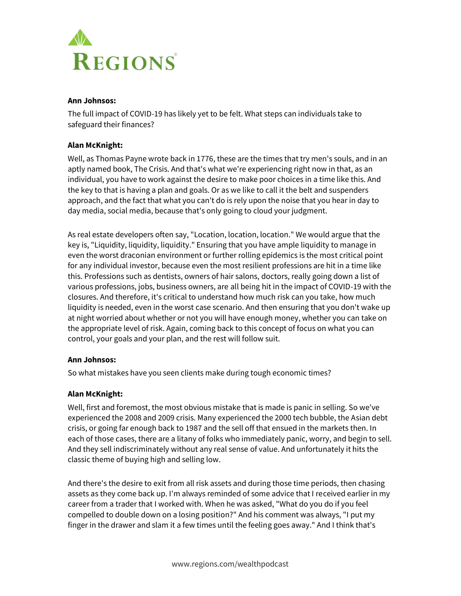

## **Ann Johnsos:**

The full impact of COVID-19 has likely yet to be felt. What steps can individuals take to safeguard their finances?

# **Alan McKnight:**

Well, as Thomas Payne wrote back in 1776, these are the times that try men's souls, and in an aptly named book, The Crisis. And that's what we're experiencing right now in that, as an individual, you have to work against the desire to make poor choices in a time like this. And the key to that is having a plan and goals. Or as we like to call it the belt and suspenders approach, and the fact that what you can't do is rely upon the noise that you hear in day to day media, social media, because that's only going to cloud your judgment.

As real estate developers often say, "Location, location, location." We would argue that the key is, "Liquidity, liquidity, liquidity." Ensuring that you have ample liquidity to manage in even the worst draconian environment or further rolling epidemics is the most critical point for any individual investor, because even the most resilient professions are hit in a time like this. Professions such as dentists, owners of hair salons, doctors, really going down a list of various professions, jobs, business owners, are all being hit in the impact of COVID-19 with the closures. And therefore, it's critical to understand how much risk can you take, how much liquidity is needed, even in the worst case scenario. And then ensuring that you don't wake up at night worried about whether or not you will have enough money, whether you can take on the appropriate level of risk. Again, coming back to this concept of focus on what you can control, your goals and your plan, and the rest will follow suit.

# **Ann Johnsos:**

So what mistakes have you seen clients make during tough economic times?

# **Alan McKnight:**

Well, first and foremost, the most obvious mistake that is made is panic in selling. So we've experienced the 2008 and 2009 crisis. Many experienced the 2000 tech bubble, the Asian debt crisis, or going far enough back to 1987 and the sell off that ensued in the markets then. In each of those cases, there are a litany of folks who immediately panic, worry, and begin to sell. And they sell indiscriminately without any real sense of value. And unfortunately it hits the classic theme of buying high and selling low.

And there's the desire to exit from all risk assets and during those time periods, then chasing assets as they come back up. I'm always reminded of some advice that I received earlier in my career from a trader that I worked with. When he was asked, "What do you do if you feel compelled to double down on a losing position?" And his comment was always, "I put my finger in the drawer and slam it a few times until the feeling goes away." And I think that's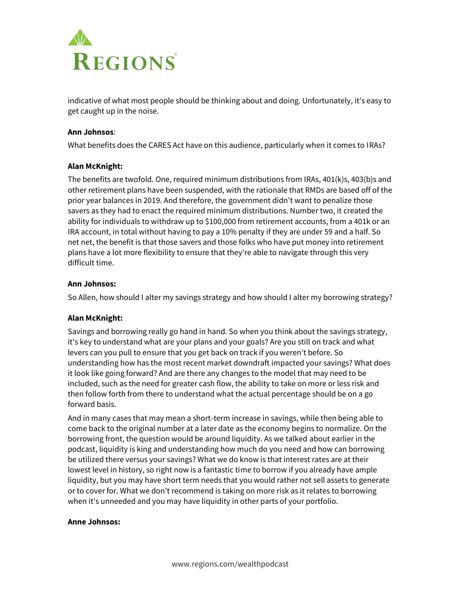

indicative of what most people should be thinking about and doing. Unfortunately, it's easy to get caught up in the noise.

#### **Ann Johnsos**:

What benefits does the CARES Act have on this audience, particularly when it comes to IRAs?

#### **Alan McKnight:**

The benefits are twofold. One, required minimum distributions from IRAs, 401(k)s, 403(b)s and other retirement plans have been suspended, with the rationale that RMDs are based off of the prior year balances in 2019. And therefore, the government didn't want to penalize those savers as they had to enact the required minimum distributions. Number two, it created the ability for individuals to withdraw up to \$100,000 from retirement accounts, from a 401k or an IRA account, in total without having to pay a 10% penalty if they are under 59 and a half. So net net, the benefit is that those savers and those folks who have put money into retirement plans have a lot more flexibility to ensure that they're able to navigate through this very difficult time.

#### **Ann Johnsos:**

So Allen, how should I alter my savings strategy and how should I alter my borrowing strategy?

# **Alan McKnight:**

Savings and borrowing really go hand in hand. So when you think about the savings strategy, it's key to understand what are your plans and your goals? Are you still on track and what levers can you pull to ensure that you get back on track if you weren't before. So understanding how has the most recent market downdraft impacted your savings? What does it look like going forward? And are there any changes to the model that may need to be included, such as the need for greater cash flow, the ability to take on more or less risk and then follow forth from there to understand what the actual percentage should be on a go forward basis.

And in many cases that may mean a short-term increase in savings, while then being able to come back to the original number at a later date as the economy begins to normalize. On the borrowing front, the question would be around liquidity. As we talked about earlier in the podcast, liquidity is king and understanding how much do you need and how can borrowing be utilized there versus your savings? What we do know is that interest rates are at their lowest level in history, so right now is a fantastic time to borrow if you already have ample liquidity, but you may have short term needs that you would rather not sell assets to generate or to cover for. What we don't recommend is taking on more risk as it relates to borrowing when it's unneeded and you may have liquidity in other parts of your portfolio.

#### **Anne Johnsos:**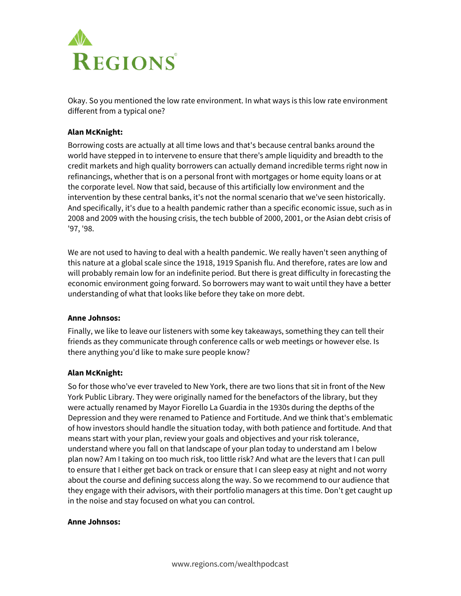

Okay. So you mentioned the low rate environment. In what ways is this low rate environment different from a typical one?

## **Alan McKnight:**

Borrowing costs are actually at all time lows and that's because central banks around the world have stepped in to intervene to ensure that there's ample liquidity and breadth to the credit markets and high quality borrowers can actually demand incredible terms right now in refinancings, whether that is on a personal front with mortgages or home equity loans or at the corporate level. Now that said, because of this artificially low environment and the intervention by these central banks, it's not the normal scenario that we've seen historically. And specifically, it's due to a health pandemic rather than a specific economic issue, such as in 2008 and 2009 with the housing crisis, the tech bubble of 2000, 2001, or the Asian debt crisis of '97, '98.

We are not used to having to deal with a health pandemic. We really haven't seen anything of this nature at a global scale since the 1918, 1919 Spanish flu. And therefore, rates are low and will probably remain low for an indefinite period. But there is great difficulty in forecasting the economic environment going forward. So borrowers may want to wait until they have a better understanding of what that looks like before they take on more debt.

#### **Anne Johnsos:**

Finally, we like to leave our listeners with some key takeaways, something they can tell their friends as they communicate through conference calls or web meetings or however else. Is there anything you'd like to make sure people know?

#### **Alan McKnight:**

So for those who've ever traveled to New York, there are two lions that sit in front of the New York Public Library. They were originally named for the benefactors of the library, but they were actually renamed by Mayor Fiorello La Guardia in the 1930s during the depths of the Depression and they were renamed to Patience and Fortitude. And we think that's emblematic of how investors should handle the situation today, with both patience and fortitude. And that means start with your plan, review your goals and objectives and your risk tolerance, understand where you fall on that landscape of your plan today to understand am I below plan now? Am I taking on too much risk, too little risk? And what are the levers that I can pull to ensure that I either get back on track or ensure that I can sleep easy at night and not worry about the course and defining success along the way. So we recommend to our audience that they engage with their advisors, with their portfolio managers at this time. Don't get caught up in the noise and stay focused on what you can control.

#### **Anne Johnsos:**